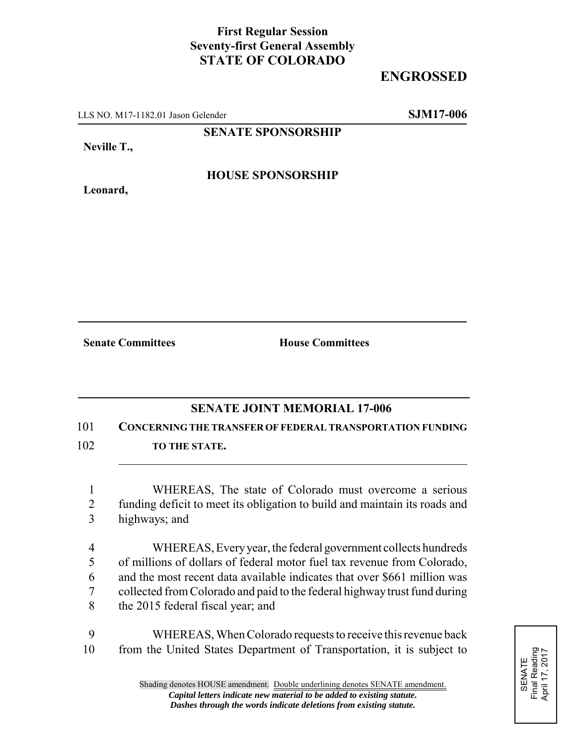## **First Regular Session Seventy-first General Assembly STATE OF COLORADO**

## **ENGROSSED**

LLS NO. M17-1182.01 Jason Gelender **SJM17-006**

**SENATE SPONSORSHIP**

**Neville T.,**

**Leonard,**

**HOUSE SPONSORSHIP**

**Senate Committees House Committees** 

## **SENATE JOINT MEMORIAL 17-006**

101 **CONCERNING THE TRANSFER OF FEDERAL TRANSPORTATION FUNDING**

- 102 **TO THE STATE.** 
	- 1 WHEREAS, The state of Colorado must overcome a serious 2 funding deficit to meet its obligation to build and maintain its roads and 3 highways; and
	- 4 WHEREAS, Every year, the federal government collects hundreds 5 of millions of dollars of federal motor fuel tax revenue from Colorado, 6 and the most recent data available indicates that over \$661 million was 7 collected from Colorado and paid to the federal highway trust fund during 8 the 2015 federal fiscal year; and
- 9 WHEREAS, When Colorado requests to receive this revenue back 10 from the United States Department of Transportation, it is subject to

SENATE<br>Final Reading<br>April 17, 2017 Final Reading April 17, 2017